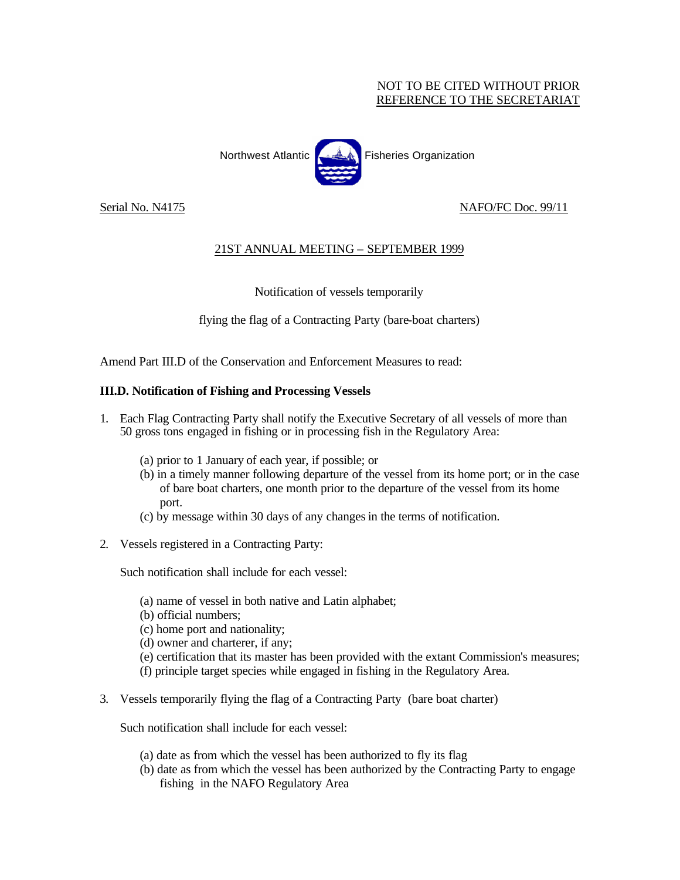## NOT TO BE CITED WITHOUT PRIOR REFERENCE TO THE SECRETARIAT



Serial No. N4175 NAFO/FC Doc. 99/11

## 21ST ANNUAL MEETING – SEPTEMBER 1999

## Notification of vessels temporarily

flying the flag of a Contracting Party (bare-boat charters)

Amend Part III.D of the Conservation and Enforcement Measures to read:

## **III.D. Notification of Fishing and Processing Vessels**

- 1. Each Flag Contracting Party shall notify the Executive Secretary of all vessels of more than 50 gross tons engaged in fishing or in processing fish in the Regulatory Area:
	- (a) prior to 1 January of each year, if possible; or
	- (b) in a timely manner following departure of the vessel from its home port; or in the case of bare boat charters, one month prior to the departure of the vessel from its home port.
	- (c) by message within 30 days of any changesin the terms of notification.
- 2. Vessels registered in a Contracting Party:

Such notification shall include for each vessel:

- (a) name of vessel in both native and Latin alphabet;
- (b) official numbers;
- (c) home port and nationality;
- (d) owner and charterer, if any;
- (e) certification that its master has been provided with the extant Commission's measures;
- (f) principle target species while engaged in fishing in the Regulatory Area.
- 3. Vessels temporarily flying the flag of a Contracting Party (bare boat charter)

Such notification shall include for each vessel:

- (a) date as from which the vessel has been authorized to fly its flag
- (b) date as from which the vessel has been authorized by the Contracting Party to engage fishing in the NAFO Regulatory Area